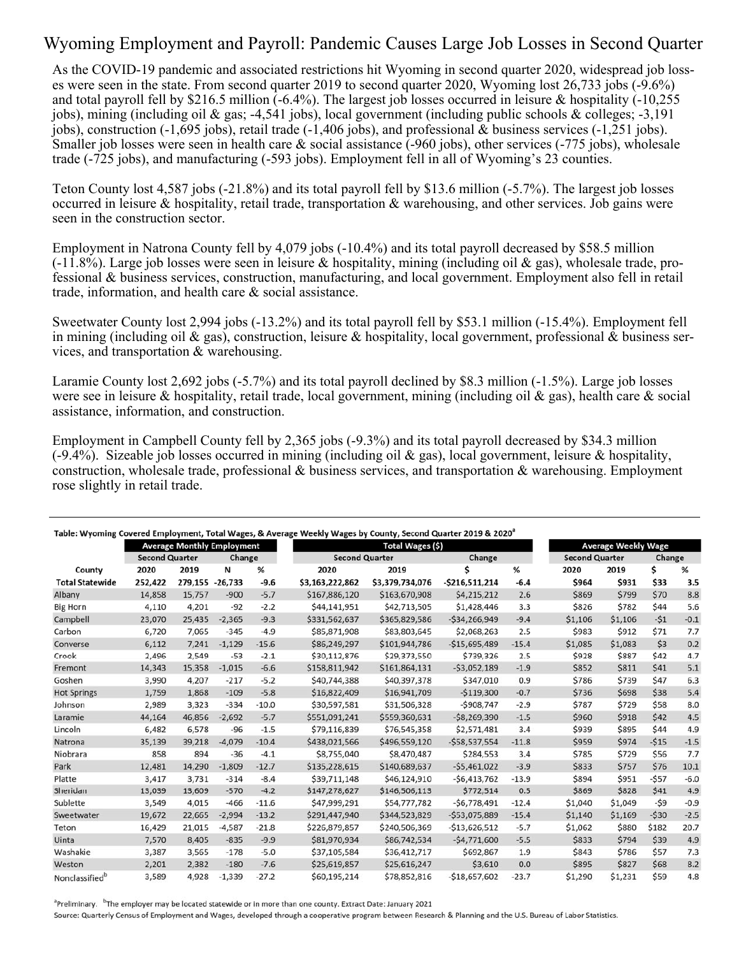## Wyoming Employment and Payroll: Pandemic Causes Large Job Losses in Second Quarter

As the COVID-19 pandemic and associated restrictions hit Wyoming in second quarter 2020, widespread job losses were seen in the state. From second quarter 2019 to second quarter 2020, Wyoming lost 26,733 jobs (-9.6%) and total payroll fell by \$216.5 million (-6.4%). The largest job losses occurred in leisure & hospitality (-10,255 jobs), mining (including oil & gas; -4,541 jobs), local government (including public schools & colleges; -3,191 jobs), construction (-1,695 jobs), retail trade (-1,406 jobs), and professional & business services (-1,251 jobs). Smaller job losses were seen in health care & social assistance (-960 jobs), other services (-775 jobs), wholesale trade (-725 jobs), and manufacturing (-593 jobs). Employment fell in all of Wyoming's 23 counties.

Teton County lost 4,587 jobs (-21.8%) and its total payroll fell by \$13.6 million (-5.7%). The largest job losses occurred in leisure & hospitality, retail trade, transportation & warehousing, and other services. Job gains were seen in the construction sector.

Employment in Natrona County fell by 4,079 jobs (-10.4%) and its total payroll decreased by \$58.5 million  $(-11.8\%)$ . Large job losses were seen in leisure & hospitality, mining (including oil & gas), wholesale trade, professional & business services, construction, manufacturing, and local government. Employment also fell in retail trade, information, and health care & social assistance.

Sweetwater County lost 2,994 jobs (-13.2%) and its total payroll fell by \$53.1 million (-15.4%). Employment fell in mining (including oil & gas), construction, leisure & hospitality, local government, professional & business services, and transportation & warehousing.

Laramie County lost 2,692 jobs (-5.7%) and its total payroll declined by \$8.3 million (-1.5%). Large job losses were see in leisure & hospitality, retail trade, local government, mining (including oil & gas), health care & social assistance, information, and construction.

Employment in Campbell County fell by 2,365 jobs (-9.3%) and its total payroll decreased by \$34.3 million  $(-9.4\%)$ . Sizeable job losses occurred in mining (including oil & gas), local government, leisure & hospitality, construction, wholesale trade, professional & business services, and transportation & warehousing. Employment rose slightly in retail trade.

|                            |                                   |                 |          |         | Table: Wyoming Covered Employment, Total Wages, & Average Weekly Wages by County, Second Quarter 2019 & 2020 <sup>ª</sup> |                  |                 |         |                       |                            |        |        |  |
|----------------------------|-----------------------------------|-----------------|----------|---------|---------------------------------------------------------------------------------------------------------------------------|------------------|-----------------|---------|-----------------------|----------------------------|--------|--------|--|
|                            | <b>Average Monthly Employment</b> |                 |          |         |                                                                                                                           | Total Wages (\$) |                 |         |                       | <b>Average Weekly Wage</b> |        |        |  |
|                            | <b>Second Quarter</b>             |                 | Change   |         | <b>Second Quarter</b>                                                                                                     |                  | Change          |         | <b>Second Quarter</b> |                            | Change |        |  |
| County                     | 2020                              | 2019            | N        | %       | 2020                                                                                                                      | 2019             |                 | %       | 2020                  | 2019                       | Ś      | %      |  |
| <b>Total Statewide</b>     | 252,422                           | 279,155 -26,733 |          | $-9.6$  | \$3,163,222,862                                                                                                           | \$3,379,734,076  | $-5216,511,214$ | $-6.4$  | \$964                 | \$931                      | \$33   | 3.5    |  |
| Albany                     | 14.858                            | 15,757          | $-900$   | $-5.7$  | \$167,886,120                                                                                                             | \$163,670,908    | \$4,215,212     | 2.6     | \$869                 | \$799                      | \$70   | 8.8    |  |
| <b>Big Horn</b>            | 4,110                             | 4,201           | $-92$    | $-2.2$  | \$44,141,951                                                                                                              | \$42,713,505     | \$1,428,446     | 3.3     | \$826                 | \$782                      | \$44   | 5.6    |  |
| Campbell                   | 23,070                            | 25,435          | $-2,365$ | $-9.3$  | \$331,562,637                                                                                                             | \$365,829,586    | $-534,266,949$  | $-9.4$  | \$1,106               | \$1,106                    | $-51$  | $-0.1$ |  |
| Carbon                     | 6,720                             | 7,065           | $-345$   | $-4.9$  | \$85,871,908                                                                                                              | \$83,803,645     | \$2,068,263     | 2.5     | \$983                 | \$912                      | \$71   | 7.7    |  |
| Converse                   | 6,112                             | 7,241           | $-1,129$ | $-15.6$ | \$86,249,297                                                                                                              | \$101,944,786    | $-515,695,489$  | $-15.4$ | \$1,085               | \$1,083                    | \$3    | 0.2    |  |
| Crook                      | 2,496                             | 2,549           | $-53$    | $-2.1$  | \$30,112,876                                                                                                              | \$29,373,550     | \$739,326       | 2.5     | \$928                 | \$887                      | \$42   | 4.7    |  |
| Fremont                    | 14,343                            | 15,358          | $-1,015$ | $-6.6$  | \$158,811,942                                                                                                             | \$161,864,131    | $-53,052,189$   | $-1.9$  | \$852                 | \$811                      | \$41   | 5.1    |  |
| Goshen                     | 3,990                             | 4,207           | $-217$   | $-5.2$  | \$40,744,388                                                                                                              | \$40,397,378     | \$347,010       | 0.9     | \$786                 | \$739                      | \$47   | 6.3    |  |
| <b>Hot Springs</b>         | 1,759                             | 1,868           | $-109$   | $-5.8$  | \$16,822,409                                                                                                              | \$16,941,709     | $-5119,300$     | $-0.7$  | \$736                 | \$698                      | \$38   | 5.4    |  |
| Johnson                    | 2,989                             | 3,323           | $-334$   | $-10.0$ | \$30,597,581                                                                                                              | \$31,506,328     | $-5908,747$     | $-2.9$  | \$787                 | \$729                      | \$58   | 8.0    |  |
| Laramie                    | 44,164                            | 46,856          | $-2,692$ | $-5.7$  | \$551,091,241                                                                                                             | \$559,360,631    | $-58,269,390$   | $-1.5$  | \$960                 | \$918                      | \$42   | 4.5    |  |
| Lincoln                    | 6,482                             | 6,578           | $-96$    | $-1.5$  | \$79,116,839                                                                                                              | \$76,545,358     | \$2,571,481     | 3.4     | \$939                 | \$895                      | \$44   | 4.9    |  |
| Natrona                    | 35,139                            | 39,218          | $-4.079$ | $-10.4$ | \$438,021,566                                                                                                             | \$496,559,120    | $-558,537,554$  | $-11.8$ | \$959                 | \$974                      | $-515$ | $-1.5$ |  |
| Niobrara                   | 858                               | 894             | $-36$    | $-4.1$  | \$8,755,040                                                                                                               | \$8,470,487      | \$284,553       | 3.4     | \$785                 | \$729                      | \$56   | 7.7    |  |
| Park                       | 12,481                            | 14,290          | $-1,809$ | $-12.7$ | \$135,228,615                                                                                                             | \$140,689,637    | $-55,461,022$   | $-3.9$  | \$833                 | \$757                      | \$76   | 10.1   |  |
| Platte                     | 3,417                             | 3,731           | $-314$   | $-8.4$  | \$39,711,148                                                                                                              | \$46,124,910     | $-56,413,762$   | $-13.9$ | \$894                 | \$951                      | $-557$ | $-6.0$ |  |
| Sheridan                   | 13,039                            | 13,609          | $-570$   | $-4.2$  | \$147,278,627                                                                                                             | \$146,506,113    | \$772,514       | 0.5     | \$869                 | \$828                      | \$41   | 4.9    |  |
| Sublette                   | 3,549                             | 4,015           | $-466$   | $-11.6$ | \$47,999,291                                                                                                              | \$54,777,782     | $-56,778,491$   | $-12.4$ | \$1,040               | \$1,049                    | -\$9   | $-0.9$ |  |
| Sweetwater                 | 19,672                            | 22,665          | $-2,994$ | $-13.2$ | \$291,447,940                                                                                                             | \$344,523,829    | $-553,075,889$  | $-15.4$ | \$1,140               | \$1,169                    | $-530$ | $-2.5$ |  |
| Teton                      | 16,429                            | 21,015          | $-4,587$ | $-21.8$ | \$226,879,857                                                                                                             | \$240,506,369    | $-513,626,512$  | $-5.7$  | \$1,062               | \$880                      | \$182  | 20.7   |  |
| Uinta                      | 7,570                             | 8,405           | $-835$   | $-9.9$  | \$81,970,934                                                                                                              | \$86,742,534     | $-54,771,600$   | $-5.5$  | \$833                 | \$794                      | \$39   | 4.9    |  |
| Washakie                   | 3,387                             | 3,565           | $-178$   | $-5.0$  | \$37,105,584                                                                                                              | \$36,412,717     | \$692,867       | 1.9     | \$843                 | \$786                      | \$57   | 7.3    |  |
| Weston                     | 2,201                             | 2,382           | $-180$   | $-7.6$  | \$25,619,857                                                                                                              | \$25,616,247     | \$3,610         | 0.0     | \$895                 | \$827                      | \$68   | 8.2    |  |
| Nonclassified <sup>b</sup> | 3,589                             | 4,928           | $-1,339$ | $-27.2$ | \$60,195,214                                                                                                              | \$78,852,816     | $-$18,657,602$  | $-23.7$ | \$1,290               | \$1,231                    | \$59   | 4.8    |  |

Preliminary. <sup>b</sup>The employer may be located statewide or in more than one county. Extract Date: January 2021

Source: Quarterly Census of Employment and Wages, developed through a cooperative program between Research & Planning and the U.S. Bureau of Labor Statistics.